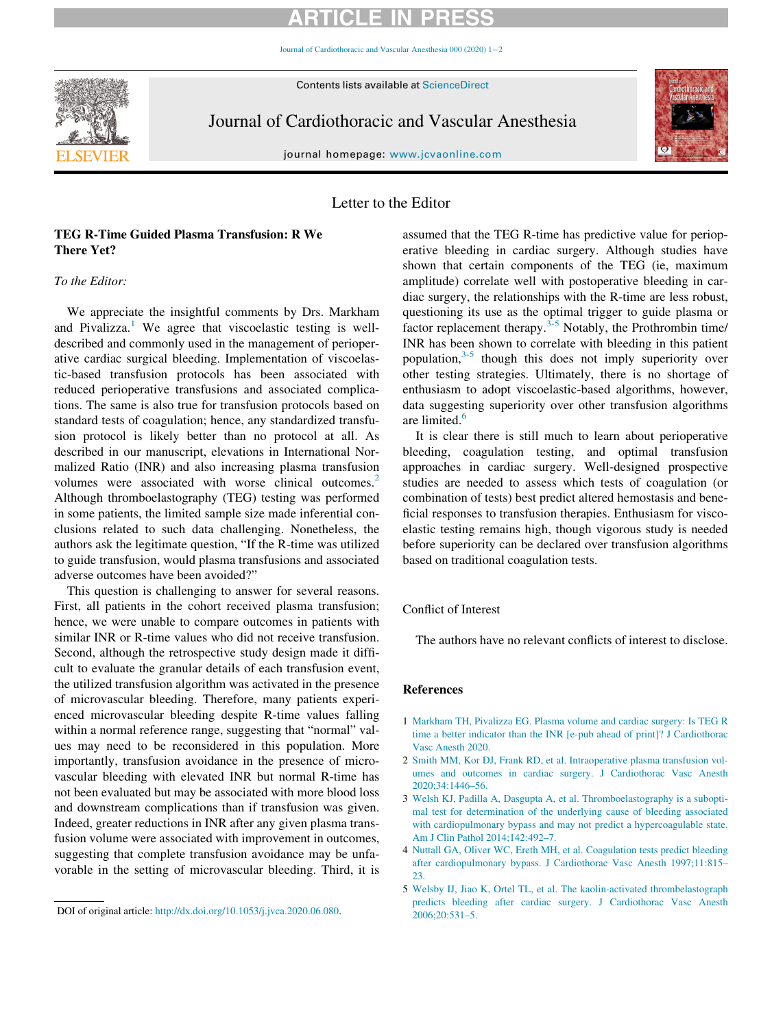# ARTICLE IN PRESS

Journal of Cardiothoracic and Vascular Anesthesia  $000(2020)$  $000(2020)$  $000(2020)$   $1-2$ 

Contents lists available at ScienceDirect



Journal of Cardiothoracic and Vascular Anesthesia



journal homepage: [www.jcvaonline.com](http://www.jcvaonline.com)

### Letter to the Editor

## TEG R-Time Guided Plasma Transfusion: R We There Yet?

### To the Editor:

We appreciate the insightful comments by Drs. Markham and Pivalizza.<sup>[1](#page-0-0)</sup> We agree that viscoelastic testing is welldescribed and commonly used in the management of perioperative cardiac surgical bleeding. Implementation of viscoelastic-based transfusion protocols has been associated with reduced perioperative transfusions and associated complications. The same is also true for transfusion protocols based on standard tests of coagulation; hence, any standardized transfusion protocol is likely better than no protocol at all. As described in our manuscript, elevations in International Normalized Ratio (INR) and also increasing plasma transfusion volumes were associated with worse clinical outcomes.<sup>[2](#page-0-1)</sup> Although thromboelastography (TEG) testing was performed in some patients, the limited sample size made inferential conclusions related to such data challenging. Nonetheless, the authors ask the legitimate question, "If the R-time was utilized to guide transfusion, would plasma transfusions and associated adverse outcomes have been avoided?"

<span id="page-0-0"></span>This question is challenging to answer for several reasons. First, all patients in the cohort received plasma transfusion; hence, we were unable to compare outcomes in patients with similar INR or R-time values who did not receive transfusion. Second, although the retrospective study design made it difficult to evaluate the granular details of each transfusion event, the utilized transfusion algorithm was activated in the presence of microvascular bleeding. Therefore, many patients experienced microvascular bleeding despite R-time values falling within a normal reference range, suggesting that "normal" values may need to be reconsidered in this population. More importantly, transfusion avoidance in the presence of microvascular bleeding with elevated INR but normal R-time has not been evaluated but may be associated with more blood loss and downstream complications than if transfusion was given. Indeed, greater reductions in INR after any given plasma transfusion volume were associated with improvement in outcomes, suggesting that complete transfusion avoidance may be unfavorable in the setting of microvascular bleeding. Third, it is assumed that the TEG R-time has predictive value for perioperative bleeding in cardiac surgery. Although studies have shown that certain components of the TEG (ie, maximum amplitude) correlate well with postoperative bleeding in cardiac surgery, the relationships with the R-time are less robust, questioning its use as the optimal trigger to guide plasma or factor replacement therapy.<sup>[3-5](#page-0-2)</sup> Notably, the Prothrombin time/ INR has been shown to correlate with bleeding in this patient population,[3-5](#page-0-2) though this does not imply superiority over other testing strategies. Ultimately, there is no shortage of enthusiasm to adopt viscoelastic-based algorithms, however, data suggesting superiority over other transfusion algorithms are limited.<sup>6</sup>

It is clear there is still much to learn about perioperative bleeding, coagulation testing, and optimal transfusion approaches in cardiac surgery. Well-designed prospective studies are needed to assess which tests of coagulation (or combination of tests) best predict altered hemostasis and beneficial responses to transfusion therapies. Enthusiasm for viscoelastic testing remains high, though vigorous study is needed before superiority can be declared over transfusion algorithms based on traditional coagulation tests.

#### Conflict of Interest

The authors have no relevant conflicts of interest to disclose.

#### References

- 1 [Markham TH, Pivalizza EG. Plasma volume and cardiac surgery: Is TEG R](http://refhub.elsevier.com/S1053-0770(20)30623-6/sbref0001) [time a better indicator than the INR \[e-pub ahead of print\]? J Cardiothorac](http://refhub.elsevier.com/S1053-0770(20)30623-6/sbref0001) [Vasc Anesth 2020.](http://refhub.elsevier.com/S1053-0770(20)30623-6/sbref0001)
- 2 [Smith MM, Kor DJ, Frank RD, et al. Intraoperative plasma transfusion vol](http://refhub.elsevier.com/S1053-0770(20)30623-6/sbref0002)[umes and outcomes in cardiac surgery. J Cardiothorac Vasc Anesth](http://refhub.elsevier.com/S1053-0770(20)30623-6/sbref0002) [2020;34:1446–56.](http://refhub.elsevier.com/S1053-0770(20)30623-6/sbref0002)
- 3 [Welsh KJ, Padilla A, Dasgupta A, et al. Thromboelastography is a subopti](http://refhub.elsevier.com/S1053-0770(20)30623-6/sbref0003)[mal test for determination of the underlying cause of bleeding associated](http://refhub.elsevier.com/S1053-0770(20)30623-6/sbref0003) [with cardiopulmonary bypass and may not predict a hypercoagulable state.](http://refhub.elsevier.com/S1053-0770(20)30623-6/sbref0003) [Am J Clin Pathol 2014;142:492–7.](http://refhub.elsevier.com/S1053-0770(20)30623-6/sbref0003)
- 4 [Nuttall GA, Oliver WC, Ereth MH, et al. Coagulation tests predict bleeding](http://refhub.elsevier.com/S1053-0770(20)30623-6/sbref0004) [after cardiopulmonary bypass. J Cardiothorac Vasc Anesth 1997;11:815–](http://refhub.elsevier.com/S1053-0770(20)30623-6/sbref0004) [23.](http://refhub.elsevier.com/S1053-0770(20)30623-6/sbref0004)
- 5 [Welsby IJ, Jiao K, Ortel TL, et al. The kaolin-activated thrombelastograph](http://refhub.elsevier.com/S1053-0770(20)30623-6/sbref0005) [predicts bleeding after cardiac surgery. J Cardiothorac Vasc Anesth](http://refhub.elsevier.com/S1053-0770(20)30623-6/sbref0005)

<span id="page-0-2"></span><span id="page-0-1"></span>**<sup>2006</sup>**;20:531–5. DOI of original article: [http://dx.doi.org/10.1053/j.jvca.2020.06.080.](http://dx.doi.org/10.1053/j.jvca.2020.06.080)